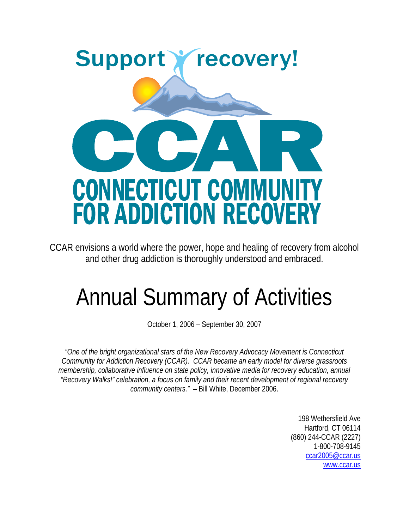

CCAR envisions a world where the power, hope and healing of recovery from alcohol and other drug addiction is thoroughly understood and embraced.

# Annual Summary of Activities

October 1, 2006 – September 30, 2007

*"One of the bright organizational stars of the New Recovery Advocacy Movement is Connecticut Community for Addiction Recovery (CCAR). CCAR became an early model for diverse grassroots membership, collaborative influence on state policy, innovative media for recovery education, annual "Recovery Walks!" celebration, a focus on family and their recent development of regional recovery community centers."* – Bill White, December 2006.

> 198 Wethersfield Ave Hartford, CT 06114 (860) 244-CCAR (2227) 1-800-708-9145 [ccar2005@ccar.us](mailto:ccar2005@ccar.us) [www.ccar.us](http://www.ccar.us/)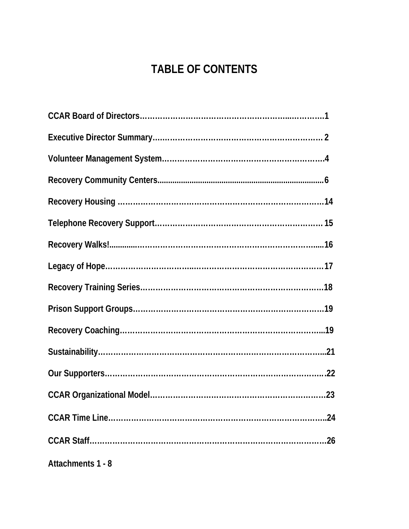# **TABLE OF CONTENTS**

| Attachments 1 - 8 |
|-------------------|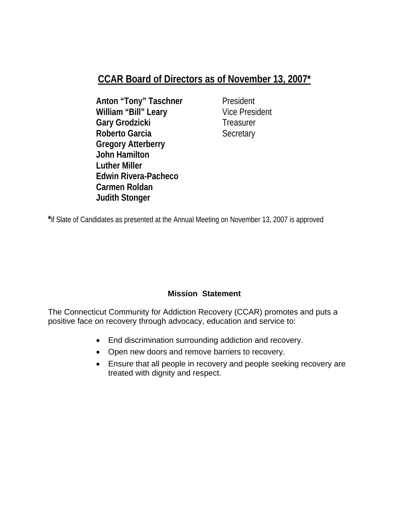### **CCAR Board of Directors as of November 13, 2007\***

- **Anton "Tony" Taschner** President **William "Bill" Leary** Vice President Gary Grodzicki Treasurer **Roberto Garcia Secretary Gregory Atterberry John Hamilton Luther Miller Edwin Rivera-Pacheco Carmen Roldan Judith Stonger**
- 

**\***if Slate of Candidates as presented at the Annual Meeting on November 13, 2007 is approved

#### **Mission Statement**

The Connecticut Community for Addiction Recovery (CCAR) promotes and puts a positive face on recovery through advocacy, education and service to:

- End discrimination surrounding addiction and recovery.
- Open new doors and remove barriers to recovery.
- Ensure that all people in recovery and people seeking recovery are treated with dignity and respect.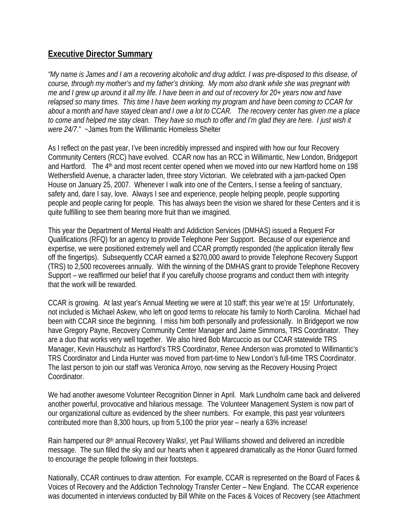#### **Executive Director Summary**

*"My name is James and I am a recovering alcoholic and drug addict. I was pre-disposed to this disease, of course, through my mother's and my father's drinking. My mom also drank while she was pregnant with me and I grew up around it all my life. I have been in and out of recovery for 20+ years now and have relapsed so many times. This time I have been working my program and have been coming to CCAR for about a month and have stayed clean and I owe a lot to CCAR. The recovery center has given me a place to come and helped me stay clean. They have so much to offer and I'm glad they are here. I just wish it were 24/7*." ~James from the Willimantic Homeless Shelter

As I reflect on the past year, I've been incredibly impressed and inspired with how our four Recovery Community Centers (RCC) have evolved. CCAR now has an RCC in Willimantic, New London, Bridgeport and Hartford. The 4<sup>th</sup> and most recent center opened when we moved into our new Hartford home on 198 Wethersfield Avenue, a character laden, three story Victorian. We celebrated with a jam-packed Open House on January 25, 2007. Whenever I walk into one of the Centers, I sense a feeling of sanctuary, safety and, dare I say, love. Always I see and experience, people helping people, people supporting people and people caring for people. This has always been the vision we shared for these Centers and it is quite fulfilling to see them bearing more fruit than we imagined.

This year the Department of Mental Health and Addiction Services (DMHAS) issued a Request For Qualifications (RFQ) for an agency to provide Telephone Peer Support. Because of our experience and expertise, we were positioned extremely well and CCAR promptly responded (the application literally flew off the fingertips). Subsequently CCAR earned a \$270,000 award to provide Telephone Recovery Support (TRS) to 2,500 recoverees annually. With the winning of the DMHAS grant to provide Telephone Recovery Support – we reaffirmed our belief that if you carefully choose programs and conduct them with integrity that the work will be rewarded.

CCAR is growing. At last year's Annual Meeting we were at 10 staff; this year we're at 15! Unfortunately, not included is Michael Askew, who left on good terms to relocate his family to North Carolina. Michael had been with CCAR since the beginning. I miss him both personally and professionally. In Bridgeport we now have Gregory Payne, Recovery Community Center Manager and Jaime Simmons, TRS Coordinator. They are a duo that works very well together. We also hired Bob Marcuccio as our CCAR statewide TRS Manager, Kevin Hauschulz as Hartford's TRS Coordinator, Renee Anderson was promoted to Willimantic's TRS Coordinator and Linda Hunter was moved from part-time to New London's full-time TRS Coordinator. The last person to join our staff was Veronica Arroyo, now serving as the Recovery Housing Project Coordinator.

We had another awesome Volunteer Recognition Dinner in April. Mark Lundholm came back and delivered another powerful, provocative and hilarious message. The Volunteer Management System is now part of our organizational culture as evidenced by the sheer numbers. For example, this past year volunteers contributed more than 8,300 hours, up from 5,100 the prior year – nearly a 63% increase!

Rain hampered our 8th annual Recovery Walks!, yet Paul Williams showed and delivered an incredible message. The sun filled the sky and our hearts when it appeared dramatically as the Honor Guard formed to encourage the people following in their footsteps.

Nationally, CCAR continues to draw attention. For example, CCAR is represented on the Board of Faces & Voices of Recovery and the Addiction Technology Transfer Center – New England. The CCAR experience was documented in interviews conducted by Bill White on the Faces & Voices of Recovery (see Attachment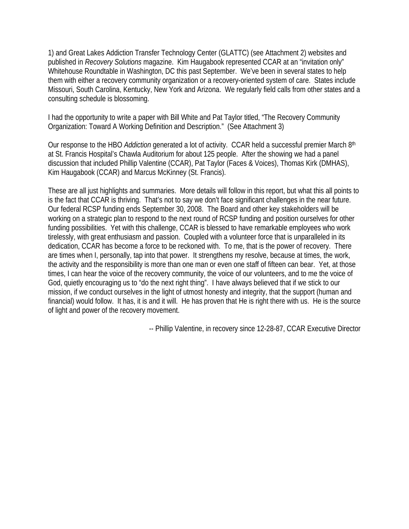1) and Great Lakes Addiction Transfer Technology Center (GLATTC) (see Attachment 2) websites and published in *Recovery Solutions* magazine. Kim Haugabook represented CCAR at an "invitation only" Whitehouse Roundtable in Washington, DC this past September. We've been in several states to help them with either a recovery community organization or a recovery-oriented system of care. States include Missouri, South Carolina, Kentucky, New York and Arizona. We regularly field calls from other states and a consulting schedule is blossoming.

I had the opportunity to write a paper with Bill White and Pat Taylor titled, "The Recovery Community Organization: Toward A Working Definition and Description." (See Attachment 3)

Our response to the HBO *Addiction* generated a lot of activity. CCAR held a successful premier March 8th at St. Francis Hospital's Chawla Auditorium for about 125 people. After the showing we had a panel discussion that included Phillip Valentine (CCAR), Pat Taylor (Faces & Voices), Thomas Kirk (DMHAS), Kim Haugabook (CCAR) and Marcus McKinney (St. Francis).

These are all just highlights and summaries. More details will follow in this report, but what this all points to is the fact that CCAR is thriving. That's not to say we don't face significant challenges in the near future. Our federal RCSP funding ends September 30, 2008. The Board and other key stakeholders will be working on a strategic plan to respond to the next round of RCSP funding and position ourselves for other funding possibilities. Yet with this challenge, CCAR is blessed to have remarkable employees who work tirelessly, with great enthusiasm and passion. Coupled with a volunteer force that is unparalleled in its dedication, CCAR has become a force to be reckoned with. To me, that is the power of recovery. There are times when I, personally, tap into that power. It strengthens my resolve, because at times, the work, the activity and the responsibility is more than one man or even one staff of fifteen can bear. Yet, at those times, I can hear the voice of the recovery community, the voice of our volunteers, and to me the voice of God, quietly encouraging us to "do the next right thing". I have always believed that if we stick to our mission, if we conduct ourselves in the light of utmost honesty and integrity, that the support (human and financial) would follow. It has, it is and it will. He has proven that He is right there with us. He is the source of light and power of the recovery movement.

-- Phillip Valentine, in recovery since 12-28-87, CCAR Executive Director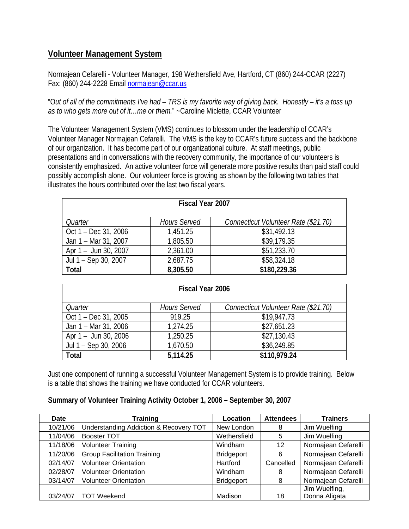#### **Volunteer Management System**

Normajean Cefarelli - Volunteer Manager, 198 Wethersfield Ave, Hartford, CT (860) 244-CCAR (2227) Fax: (860) 244-2228 Email [normajean@ccar.us](mailto:normajean@ccar.us)

"O*ut of all of the commitments I've had – TRS is my favorite way of giving back. Honestly – it's a toss up as to who gets more out of it…me or them.*" ~Caroline Miclette, CCAR Volunteer

The Volunteer Management System (VMS) continues to blossom under the leadership of CCAR's Volunteer Manager Normajean Cefarelli. The VMS is the key to CCAR's future success and the backbone of our organization. It has become part of our organizational culture. At staff meetings, public presentations and in conversations with the recovery community, the importance of our volunteers is consistently emphasized. An active volunteer force will generate more positive results than paid staff could possibly accomplish alone. Our volunteer force is growing as shown by the following two tables that illustrates the hours contributed over the last two fiscal years.

| <b>Fiscal Year 2007</b> |                     |                                      |  |
|-------------------------|---------------------|--------------------------------------|--|
| Quarter                 | <b>Hours Served</b> | Connecticut Volunteer Rate (\$21.70) |  |
| Oct 1 – Dec 31, 2006    | 1,451.25            | \$31,492.13                          |  |
| Jan 1 - Mar 31, 2007    | 1,805.50            | \$39,179.35                          |  |
| Apr 1 - Jun 30, 2007    | 2,361.00            | \$51,233.70                          |  |
| Jul 1 - Sep 30, 2007    | 2,687.75            | \$58,324.18                          |  |
| Total                   | 8,305.50            | \$180,229.36                         |  |

| Fiscal Year 2006     |                     |                                      |  |
|----------------------|---------------------|--------------------------------------|--|
| Quarter              | <b>Hours Served</b> | Connecticut Volunteer Rate (\$21.70) |  |
| Oct 1 – Dec 31, 2005 | 919.25              | \$19,947.73                          |  |
| Jan 1 – Mar 31, 2006 | 1,274.25            | \$27,651.23                          |  |
| Apr 1 - Jun 30, 2006 | 1,250.25            | \$27,130.43                          |  |
| Jul 1 – Sep 30, 2006 | 1,670.50            | \$36,249.85                          |  |
| Total                | 5,114.25            | \$110,979.24                         |  |

Just one component of running a successful Volunteer Management System is to provide training. Below is a table that shows the training we have conducted for CCAR volunteers.

#### **Summary of Volunteer Training Activity October 1, 2006 – September 30, 2007**

| <b>Date</b> | <b>Training</b>                        | Location          | <b>Attendees</b> | <b>Trainers</b>     |
|-------------|----------------------------------------|-------------------|------------------|---------------------|
| 10/21/06    | Understanding Addiction & Recovery TOT | New London        | 8                | Jim Wuelfing        |
| 11/04/06    | <b>Booster TOT</b>                     | Wethersfield      | 5                | Jim Wuelfing        |
| 11/18/06    | <b>Volunteer Training</b>              | Windham           | 12               | Normajean Cefarelli |
| 11/20/06    | <b>Group Facilitation Training</b>     | <b>Bridgeport</b> | 6                | Normajean Cefarelli |
| 02/14/07    | <b>Volunteer Orientation</b>           | Hartford          | Cancelled        | Normajean Cefarelli |
| 02/28/07    | <b>Volunteer Orientation</b>           | Windham           | 8                | Normajean Cefarelli |
| 03/14/07    | <b>Volunteer Orientation</b>           | <b>Bridgeport</b> | 8                | Normajean Cefarelli |
|             |                                        |                   |                  | Jim Wuelfing,       |
| 03/24/07    | <b>TOT Weekend</b>                     | Madison           | 18               | Donna Aligata       |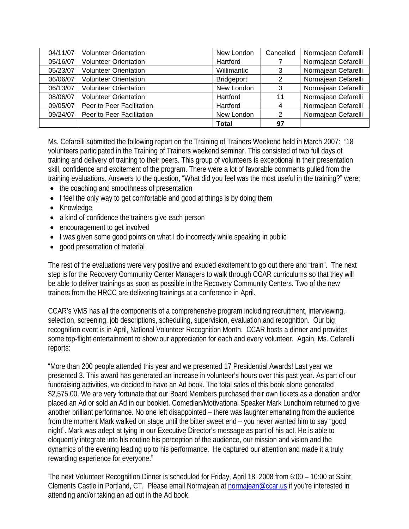| 04/11/07 | <b>Volunteer Orientation</b> | New London  | Cancelled | Normajean Cefarelli |
|----------|------------------------------|-------------|-----------|---------------------|
| 05/16/07 | <b>Volunteer Orientation</b> | Hartford    |           | Normajean Cefarelli |
| 05/23/07 | <b>Volunteer Orientation</b> | Willimantic | 3         | Normajean Cefarelli |
| 06/06/07 | <b>Volunteer Orientation</b> | Bridgeport  | 2         | Normajean Cefarelli |
| 06/13/07 | <b>Volunteer Orientation</b> | New London  | 3         | Normajean Cefarelli |
| 08/06/07 | <b>Volunteer Orientation</b> | Hartford    | 11        | Normajean Cefarelli |
| 09/05/07 | Peer to Peer Facilitation    | Hartford    | 4         | Normajean Cefarelli |
| 09/24/07 | Peer to Peer Facilitation    | New London  | 2         | Normajean Cefarelli |
|          |                              | Total       | 97        |                     |

Ms. Cefarelli submitted the following report on the Training of Trainers Weekend held in March 2007: *"*18 volunteers participated in the Training of Trainers weekend seminar. This consisted of two full days of training and delivery of training to their peers. This group of volunteers is exceptional in their presentation skill, confidence and excitement of the program. There were a lot of favorable comments pulled from the training evaluations. Answers to the question, "What did you feel was the most useful in the training?" were;

- the coaching and smoothness of presentation
- I feel the only way to get comfortable and good at things is by doing them
- Knowledge
- a kind of confidence the trainers give each person
- encouragement to get involved
- I was given some good points on what I do incorrectly while speaking in public
- good presentation of material

The rest of the evaluations were very positive and exuded excitement to go out there and "train". The next step is for the Recovery Community Center Managers to walk through CCAR curriculums so that they will be able to deliver trainings as soon as possible in the Recovery Community Centers. Two of the new trainers from the HRCC are delivering trainings at a conference in April.

CCAR's VMS has all the components of a comprehensive program including recruitment, interviewing, selection, screening, job descriptions, scheduling, supervision, evaluation and recognition. Our big recognition event is in April, National Volunteer Recognition Month. CCAR hosts a dinner and provides some top-flight entertainment to show our appreciation for each and every volunteer. Again, Ms. Cefarelli reports:

"More than 200 people attended this year and we presented 17 Presidential Awards! Last year we presented 3. This award has generated an increase in volunteer's hours over this past year. As part of our fundraising activities, we decided to have an Ad book. The total sales of this book alone generated \$2,575.00. We are very fortunate that our Board Members purchased their own tickets as a donation and/or placed an Ad or sold an Ad in our booklet. Comedian/Motivational Speaker Mark Lundholm returned to give another brilliant performance. No one left disappointed – there was laughter emanating from the audience from the moment Mark walked on stage until the bitter sweet end – you never wanted him to say "good night". Mark was adept at tying in our Executive Director's message as part of his act. He is able to eloquently integrate into his routine his perception of the audience, our mission and vision and the dynamics of the evening leading up to his performance. He captured our attention and made it a truly rewarding experience for everyone."

The next Volunteer Recognition Dinner is scheduled for Friday, April 18, 2008 from 6:00 – 10:00 at Saint Clements Castle in Portland, CT. Please email Normajean at [normajean@ccar.us](mailto:normajean@ccar.us) if you're interested in attending and/or taking an ad out in the Ad book.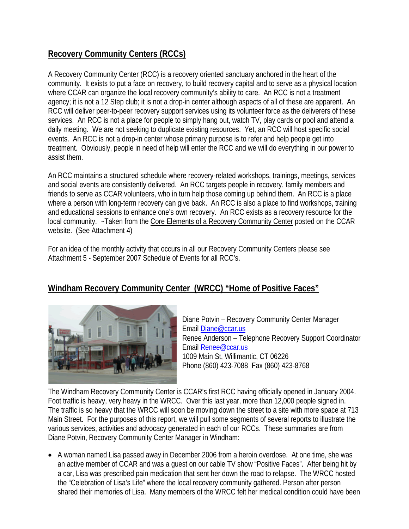#### **Recovery Community Centers (RCCs)**

A Recovery Community Center (RCC) is a recovery oriented sanctuary anchored in the heart of the community. It exists to put a face on recovery, to build recovery capital and to serve as a physical location where CCAR can organize the local recovery community's ability to care. An RCC is not a treatment agency; it is not a 12 Step club; it is not a drop-in center although aspects of all of these are apparent. An RCC will deliver peer-to-peer recovery support services using its volunteer force as the deliverers of these services. An RCC is not a place for people to simply hang out, watch TV, play cards or pool and attend a daily meeting. We are not seeking to duplicate existing resources. Yet, an RCC will host specific social events. An RCC is not a drop-in center whose primary purpose is to refer and help people get into treatment. Obviously, people in need of help will enter the RCC and we will do everything in our power to assist them.

An RCC maintains a structured schedule where recovery-related workshops, trainings, meetings, services and social events are consistently delivered. An RCC targets people in recovery, family members and friends to serve as CCAR volunteers, who in turn help those coming up behind them. An RCC is a place where a person with long-term recovery can give back. An RCC is also a place to find workshops, training and educational sessions to enhance one's own recovery. An RCC exists as a recovery resource for the local community. ~Taken from the Core Elements of a Recovery Community Center posted on the CCAR website. (See Attachment 4)

For an idea of the monthly activity that occurs in all our Recovery Community Centers please see Attachment 5 - September 2007 Schedule of Events for all RCC's.

#### **Windham Recovery Community Center (WRCC) "Home of Positive Faces"**



Diane Potvin – Recovery Community Center Manager Email [Diane@ccar.us](mailto:Diane@ccar.us) Renee Anderson – Telephone Recovery Support C oordinator Email **Renee@ccar.us** 1009 Main St, Willimantic, CT 06226 Phone (860) 423-7088 Fax (860) 423-8768

The Windham Recovery Community Center is CCAR's first RCC having officially opened in January 2004. The traffic is so heavy that the WRCC will soon be moving down the street to a site with more space at 713 Foot traffic is heavy, very heavy in the WRCC. Over this last year, more than 12,000 people signed in. Main Street. For the purposes of this report, we will pull some segments of several reports to illustrate the various services, activities and advocacy generated in each of our RCCs. These summaries are from Diane Potvin, Recovery Community Center Manager in Windham:

• A woman named Lisa passed away in December 2006 from a heroin overdose. At one time, she was shared their memories of Lisa. Many members of the WRCC felt her medical condition could have been an active member of CCAR and was a guest on our cable TV show "Positive Faces". After being hit by a car, Lisa was prescribed pain medication that sent her down the road to relapse. The WRCC hosted the "Celebration of Lisa's Life" where the local recovery community gathered. Person after person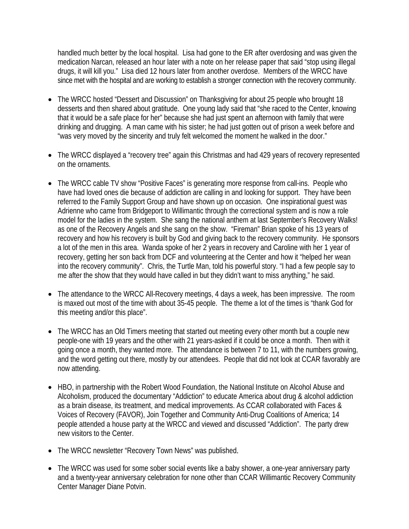handled much better by the local hospital. Lisa had gone to the ER after overdosing and was given the medication Narcan, released an hour later with a note on her release paper that said "stop using illegal drugs, it will kill you." Lisa died 12 hours later from another overdose. Members of the WRCC have since met with the hospital and are working to establish a stronger connection with the recovery community.

- The WRCC hosted "Dessert and Discussion" on Thanksgiving for about 25 people who brought 18 desserts and then shared about gratitude. One young lady said that "she raced to the Center, knowing drinking and drugging. A man came with his sister; he had just gotten out of prison a week before and that it would be a safe place for her" because she had just spent an afternoon with family that were "was very moved by the sincerity and truly felt welcomed the moment he walked in the door."
- The WRCC displayed a "recovery tree" again this Christmas and had 429 years of recovery represented on the ornaments.
- The WRCC cable TV show "Positive Faces" is generating more response from call-ins. People who model for the ladies in the system. She sang the national anthem at last September's Recovery Walks! recovery and how his recovery is built by God and giving back to the recovery community. He sponsors have had loved ones die because of addiction are calling in and looking for support. They have been referred to the Family Support Group and have shown up on occasion. One inspirational guest was Adrienne who came from Bridgeport to Willimantic through the correctional system and is now a role as one of the Recovery Angels and she sang on the show. "Fireman" Brian spoke of his 13 years of a lot of the men in this area. Wanda spoke of her 2 years in recovery and Caroline with her 1 year of recovery, getting her son back from DCF and volunteering at the Center and how it "helped her wean into the recovery community". Chris, the Turtle Man, told his powerful story. "I had a few people say to me after the show that they would have called in but they didn't want to miss anything," he said.
- The attendance to the WRCC All-Recovery meetings, 4 days a week, has been impressive. The room is maxed out most of the time with about 35-45 people. The theme a lot of the times is "thank God for this meeting and/or this place".
- The WRCC has an Old Timers meeting that started out meeting every other month but a couple new going once a month, they wanted more. The attendance is between 7 to 11, with the numbers growing, people-one with 19 years and the other with 21 years-asked if it could be once a month. Then with it and the word getting out there, mostly by our attendees. People that did not look at CCAR favorably are now attending.
- HBO, in partnership with the Robert Wood Foundation, the National Institute on Alcohol Abuse and Alcoholism, produced the documentary "Addiction" to educate America about drug & alcohol addiction people attended a house party at the WRCC and viewed and discussed "Addiction". The party drew as a brain disease, its treatment, and medical improvements. As CCAR collaborated with Faces & Voices of Recovery (FAVOR), Join Together and Community Anti-Drug Coalitions of America; 14 new visitors to the Center.
- The WRCC newsletter "Recovery Town News" was published.
- The WRCC was used for some sober social events like a baby shower, a one-year anniversary party and a twenty-year anniversary celebration for none other than CCAR Willimantic Recovery Community Center Manager Diane Potvin.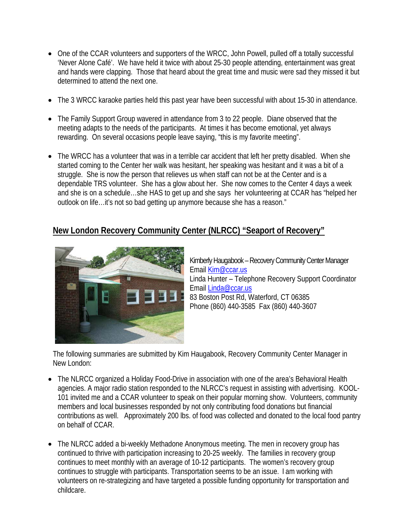- One of the CCAR volunteers and supporters of the WRCC, John Powell, pulled off a totally successful 'Never Alone Café'. We have held it twice with about 25-30 people attending, entertainment was great and hands were clapping. Those that heard about the great time and music were sad they missed it but determined to attend the next one.
- The 3 WRCC karaoke parties held this past year have been successful with about 15-30 in attendance.
- The Family Support Group wavered in attendance from 3 to 22 people. Diane observed that the meeting adapts to the needs of the participants. At times it has become emotional, yet always rewarding. On several occasions people leave saying, "this is my favorite meeting".
- The WRCC has a volunteer that was in a terrible car accident that left her pretty disabled. When she dependable TRS volunteer. She has a glow about her. She now comes to the Center 4 days a week and she is on a schedule…she HAS to get up and she says her volunteering at CCAR has "helped her started coming to the Center her walk was hesitant, her speaking was hesitant and it was a bit of a struggle. She is now the person that relieves us when staff can not be at the Center and is a outlook on life…it's not so bad getting up anymore because she has a reason."

#### **New London Recovery Community Center (NLRCC) "Seaport of Recovery"**



Kimberly Haugabook – Recovery Community Center Manager Email Kim@ccar.us Linda Hunter – Telephone Recovery Support Coordinator Email Linda@ccar.us 83 Boston Post Rd, Waterford, CT 06385 Phone (860) 440-3585 Fax (860) 440-3607

The following summaries are submitted by Kim Haugabook, Recovery Community Center Manager in New London:

- The NLRCC organized a Holiday Food-Drive in association with one of the area's Behavioral Health agencies. A major radio station responded to the NLRCC's request in assisting with advertising. KOOLcontributions as well. Approximately 200 lbs. of food was collected and donated to the local food pantry 101 invited me and a CCAR volunteer to speak on their popular morning show. Volunteers, community members and local businesses responded by not only contributing food donations but financial on behalf of CCAR.
- The NLRCC added a bi-weekly Methadone Anonymous meeting. The men in recovery group has volunteers on re-strategizing and have targeted a possible funding opportunity for transportation and continued to thrive with participation increasing to 20-25 weekly. The families in recovery group continues to meet monthly with an average of 10-12 participants. The women's recovery group continues to struggle with participants. Transportation seems to be an issue. I am working with childcare.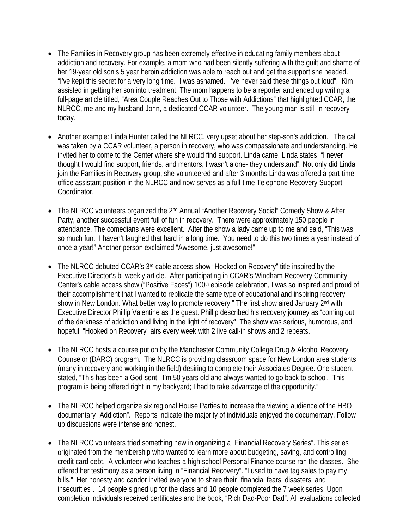- The Families in Recovery group has been extremely effective in educating family members about addiction and recovery. For example, a mom who had been silently suffering with the guilt and shame of her 19-year old son's 5 year heroin addiction was able to reach out and get the support she needed. "I've kept this secret for a very long time. I was ashamed. I've never said these things out loud". Kim assisted in getting her son into treatment. The mom happens to be a reporter and ended up writing a full-page article titled, "Area Couple Reaches Out to Those with Addictions" that highlighted CCAR, the NLRCC, me and my husband John, a dedicated CCAR volunteer. The young man is still in recovery today.
- Another example: Linda Hunter called the NLRCC, very upset about her step-son's addiction. The call was taken by a CCAR volunteer, a person in recovery, who was compassionate and understanding. He join the Families in Recovery group, she volunteered and after 3 months Linda was offered a part-time invited her to come to the Center where she would find support. Linda came. Linda states, "I never thought I would find support, friends, and mentors, I wasn't alone- they understand". Not only did Linda office assistant position in the NLRCC and now serves as a full-time Telephone Recovery Support Coordinator.
- The NLRCC volunteers organized the 2<sup>nd</sup> Annual "Another Recovery Social" Comedy Show & After Party, another successful event full of fun in recovery. There were approximately 150 people in attendance. The comedians were excellent. After the show a lady came up to me and said, "This was so much fun. I haven't laughed that hard in a long time. You need to do this two times a year instead of once a year!" Another person exclaimed "Awesome, just awesome!"
- The NLRCC debuted CCAR's 3<sup>rd</sup> cable access show "Hooked on Recovery" title inspired by the Executive Director's bi-weekly article. After participating in CCAR's Windham Recovery Community Center's cable access show ("Positive Faces") 100<sup>th</sup> episode celebration, I was so inspired and proud of Executive Director Phillip Valentine as the guest. Phillip described his recovery journey as "coming out of the darkness of addiction and living in the light of recovery". The show was serious, humorous, and their accomplishment that I wanted to replicate the same type of educational and inspiring recovery show in New London. What better way to promote recovery!" The first show aired January 2<sup>nd</sup> with hopeful. "Hooked on Recovery" airs every week with 2 live call-in shows and 2 repeats.
- The NLRCC hosts a course put on by the Manchester Community College Drug & Alcohol Recovery Counselor (DARC) program. The NLRCC is providing classroom space for New London area students (many in recovery and working in the field) desiring to complete their Associates Degree. One student stated, "This has been a God-sent. I'm 50 years old and always wanted to go back to school. This program is being offered right in my backyard; I had to take advantage of the opportunity."
- The NLRCC helped organize six regional House Parties to increase the viewing audience of the HBO documentary "Addiction". Reports indicate the majority of individuals enjoyed the documentary. Follow up discussions were intense and honest.
- The NLRCC volunteers tried something new in organizing a "Financial Recovery Series". This series originated from the membership who wanted to learn more about budgeting, saving, and controlling credit card debt. A volunteer who teaches a high school Personal Finance course ran the classes. She completion individuals received certificates and the book, "Rich Dad-Poor Dad". All evaluations collected offered her testimony as a person living in "Financial Recovery". "I used to have tag sales to pay my bills." Her honesty and candor invited everyone to share their "financial fears, disasters, and insecurities". 14 people signed up for the class and 10 people completed the 7 week series. Upon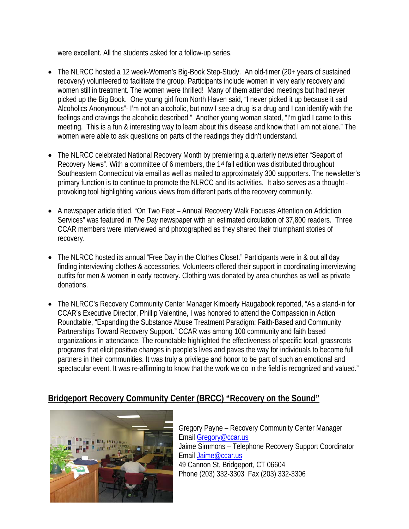were excellent. All the students asked for a follow-up series.

- The NLRCC hosted a 12 week-Women's Big-Book Step-Study. An old-timer (20+ years of sustained re covery) volunteered to facilitate the group. Participants include women in very early recovery and Alcoholics Anonymous"- I'm not an alcoholic, but now I see a drug is a drug and I can identify with the women still in treatment. The women were thrilled! Many of them attended meetings but had never picked up the Big Book. One young girl from North Haven said, "I never picked it up because it said feelings and cravings the alcoholic described." Another young woman stated, "I'm glad I came to this meeting. This is a fun & interesting way to learn about this disease and know that I am not alone." The women were able to ask questions on parts of the readings they didn't understand.
- The NLRCC celebrated National Recovery Month by premiering a quarterly newsletter "Seaport of Recovery News". With a committee of 6 members, the 1<sup>st</sup> fall edition was distributed throughout Southeastern Connecticut via email as well as mailed to approximately 300 supporters. The newsletter's primary function is to continue to promote the NLRCC and its activities. It also serves as a thought provoking tool highlighting various views from different parts of the recovery community.
- A newspaper article titled, "On Two Feet Annual Recovery Walk Focuses Attention on Addiction Services" was featured in *The Day* newspaper with an estimated circulation of 37,800 readers. Three CCAR members were interviewed and photographed as they shared their triumphant stories of recovery.
- The NLRCC hosted its annual "Free Day in the Clothes Closet." Participants were in & out all day finding interviewing clothes & accessories. Volunteers offered their support in coordinating interviewing outfits for men & women in early recovery. Clothing was donated by area churches as well as private donations.
- The NLRCC's Recovery Community Center Manager Kimberly Haugabook reported, "As a stand-in for CAR's Executive Director, Phillip Valentine, I was honored to attend the Compassion in Action C organizations in attendance. The roundtable highlighted the effectiveness of specific local, grassroots programs that elicit positive changes in people's lives and paves the way for individuals to become full Roundtable, "Expanding the Substance Abuse Treatment Paradigm: Faith-Based and Community Partnerships Toward Recovery Support." CCAR was among 100 community and faith based partners in their communities. It was truly a privilege and honor to be part of such an emotional and spectacular event. It was re-affirming to know that the work we do in the field is recognized and valued."

#### **ridgeport Recovery Community Center (BRCC) "Recovery on the Sound" B**



Gregory Payne - Recovery Community Center Manager Email Gregory@ccar.us Jaime Simmons – Telephone Recovery Support Coordinator Email [Jaime@ccar.us](mailto:Gregory@ccar.us) 49 Cannon St, Bridgeport, CT 06604 Phone (203) 332-3303 Fax (203) 332-3306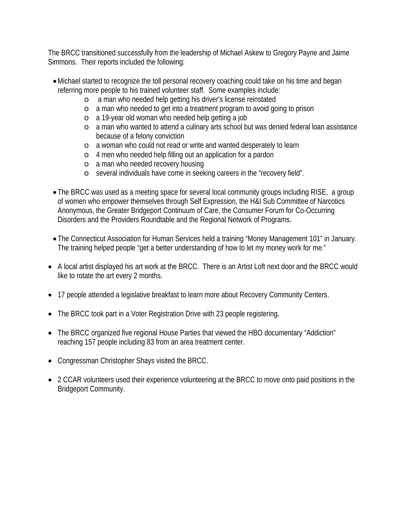The BRCC transitioned successfully from the leadership of Michael Askew to Gregory Payne and Jaime Simmons. Their reports included the following:

- Michael started to recognize the toll personal recovery coaching could take on his time and began referring more people to his trained volunteer staff. Some examples include:
	- o a man who needed help getting his driver's license reinstated
	- o a man who needed to get into a treatment program to avoid going to prison
	- o a 19-year old woman who needed help getting a job
	- o a man who wanted to attend a culinary arts school but was denied federal loan assistance because of a felony conviction
	- o a woman who could not read or write and wanted desperately to learn
	- o 4 men who needed help filling out an application for a pardon
	- o a man who needed recovery housing
	- o several individuals have come in seeking careers in the "recovery field".
- The BRCC was used as a meeting space for several local community groups including RISE, a group of women who empower themselves through Self Expression, the H&I Sub Committee of Narcotics Anonymous, the Greater Bridgeport Continuum of Care, the Consumer Forum for Co-Occurring Disorders and the Providers Roundtable and the Regional Network of Programs.
- The Connecticut Association for Human Services held a training "Money Management 101" in January. The training helped people "get a better understanding of how to let my money work for me."
- A local artist displayed his art work at the BRCC. There is an Artist Loft next door and the BRCC would like to rotate the art every 2 months.
- 17 people attended a legislative breakfast to learn more about Recovery Community Centers.
- The BRCC took part in a Voter Registration Drive with 23 people registering.
- The BRCC organized five regional House Parties that viewed the HBO documentary "Addiction" reaching 157 people including 83 from an area treatment center.
- Congressman Christopher Shays visited the BRCC.
- 2 CCAR volunteers used their experience volunteering at the BRCC to move onto paid positions in the Bridgeport Community.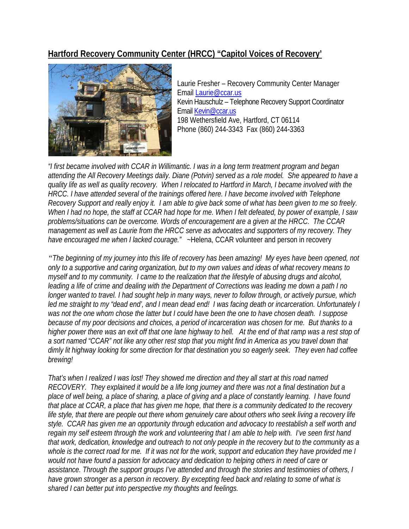#### **Hartford Recovery Community Center (HRCC) "Capitol Voices of Recovery'**



Laurie Fresher – Recovery Community Center Manager Email Laurie@ccar.us Kevin Hauschulz – Telephone Recovery Support Coordinator Email Kevin@ccar.us 198 Wethersfield Ave, Hartford, CT 06114 Phone (860) 244-3343 Fax (860) 244-3363

*. I was in a long term treatment program and began "I first became involved with CCAR in Willimantic ve a attending the All Recovery Meetings daily. Diane (Potvin) served as a role model. She appeared to ha Recovery Support and really enjoy it. I am able to give back some of what has been given to me so freely. y management as well as Laurie from the HRCC serve as advocates and supporters of my recovery. The quality life as well as quality recovery. When I relocated to Hartford in March, I became involved with the HRCC. I have attended several of the trainings offered here. I have become involved with Telephone When I had no hope, the staff at CCAR had hope for me. When I felt defeated, by power of example, I saw problems/situations can be overcome. Words of encouragement are a given at the HRCC. The CCAR have encouraged me when I lacked courage."* ~Helena, CCAR volunteer and person in recovery

*The beginning of my journey into this life of recovery has been amazing! My eyes have been opened, not " h longer wanted to travel. I had sought help in many ways, never to follow through, or actively pursue, whic f higher power there was an exit off that one lane highway to hell. At the end of that ramp was a rest stop o e dimly lit highway looking for some direction for that destination you so eagerly seek. They even had coffe only to a supportive and caring organization, but to my own values and ideas of what recovery means to myself and to my community. I came to the realization that the lifestyle of abusing drugs and alcohol, leading a life of crime and dealing with the Department of Corrections was leading me down a path I no led me straight to my "dead end', and I mean dead end! I was facing death or incarceration. Unfortunately I was not the one whom chose the latter but I could have been the one to have chosen death. I suppose because of my poor decisions and choices, a period of incarceration was chosen for me. But thanks to a a sort named "CCAR" not like any other rest stop that you might find in America as you travel down that brewing!* 

*hat's when I realized I was lost! They showed me direction and they all start at this road named T RECOVERY.* They explained it would be a life long journey and there was not a final destination but a *a that work, dedication, knowledge and outreach to not only people in the recovery but to the community as thers, I assistance. Through the support groups I've attended and through the stories and testimonies of o place of well being, a place of sharing, a place of giving and a place of constantly learning. I have found that place at CCAR, a place that has given me hope, that there is a community dedicated to the recovery life style, that there are people out there whom genuinely care about others who seek living a recovery life style. CCAR has given me an opportunity through education and advocacy to reestablish a self worth and regain my self esteem through the work and volunteering that I am able to help with. I've seen first hand whole is the correct road for me. If it was not for the work, support and education they have provided me I would not have found a passion for advocacy and dedication to helping others in need of care or have grown stronger as a person in recovery. By excepting feed back and relating to some of what is shared I can better put into perspective my thoughts and feelings.*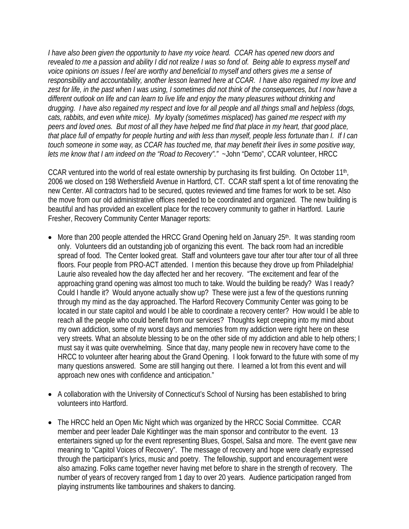*I have also been given the opportunity to have my voice heard. CCAR has opened new doors and*  revealed to me a passion and ability I did not realize I was so fond of. Being able to express myself and responsibility and accountability, another lesson learned here at CCAR. I have also regained my love and drugging. I have also regained my respect and love for all people and all things small and helpless (dogs, *n that place full of empathy for people hurting and with less than myself, people less fortunate than I. If I ca voice opinions on issues I feel are worthy and beneficial to myself and others gives me a sense of*  zest for life, in the past when I was using, I sometimes did not think of the consequences, but I now have a *different outlook on life and can learn to live life and enjoy the many pleasures without drinking and cats, rabbits, and even white mice). My loyalty (sometimes misplaced) has gained me respect with my peers and loved ones. But most of all they have helped me find that place in my heart, that good place, touch someone in some way, as CCAR has touched me, that may benefit their lives in some positive way, lets me know that I am indeed on the "Road to Recovery"."* ~John "Demo", CCAR volunteer, HRCC

CCAR ventured into the world of real estate ownership by purchasing its first building. On October 11<sup>th</sup>, 2006 we closed on 198 Wethersfield Avenue in Hartford, CT. CCAR staff spent a lot of time renovating the the move from our old administrative offices needed to be coordinated and organized. The new building is new Center. All contractors had to be secured, quotes reviewed and time frames for work to be set. Also beautiful and has provided an excellent place for the recovery community to gather in Hartford. Laurie Fresher, Recovery Community Center Manager reports:

- More than 200 people attended the HRCC Grand Opening held on January 25<sup>th</sup>. It was standing room spread of food. The Center looked great. Staff and volunteers gave tour after tour after tour of all three approaching grand opening was almost too much to take. Would the building be ready? Was I ready? located in our state capitol and would I be able to coordinate a recovery center? How would I be able to very streets. What an absolute blessing to be on the other side of my addiction and able to help others; I HRCC to volunteer after hearing about the Grand Opening. I look forward to the future with some of my only. Volunteers did an outstanding job of organizing this event. The back room had an incredible floors. Four people from PRO-ACT attended. I mention this because they drove up from Philadelphia! Laurie also revealed how the day affected her and her recovery. "The excitement and fear of the Could I handle it? Would anyone actually show up? These were just a few of the questions running through my mind as the day approached. The Harford Recovery Community Center was going to be reach all the people who could benefit from our services? Thoughts kept creeping into my mind about my own addiction, some of my worst days and memories from my addiction were right here on these must say it was quite overwhelming. Since that day, many people new in recovery have come to the many questions answered. Some are still hanging out there. I learned a lot from this event and will approach new ones with confidence and anticipation."
- A collaboration with the University of Connecticut's School of Nursing has been established to bring volunteers into Hartford.
- The HRCC held an Open Mic Night which was organized by the HRCC Social Committee. CCAR entertainers signed up for the event representing Blues, Gospel, Salsa and more. The event gave new member and peer leader Dale Kightlinger was the main sponsor and contributor to the event. 13 meaning to "Capitol Voices of Recovery". The message of recovery and hope were clearly expressed through the participant's lyrics, music and poetry. The fellowship, support and encouragement were also amazing. Folks came together never having met before to share in the strength of recovery. The number of years of recovery ranged from 1 day to over 20 years. Audience participation ranged from playing instruments like tambourines and shakers to dancing.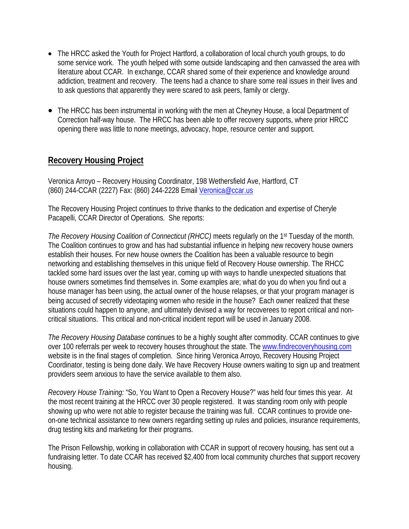- The HRCC asked the Youth for Project Hartford, a collaboration of local church youth groups, to do some service work. The youth helped with some outside landscaping and then canvassed the area with addiction, treatment and recovery. The teens had a chance to share some real issues in their lives and literature about CCAR. In exchange, CCAR shared some of their experience and knowledge around to ask questions that apparently they were scared to ask peers, family or clergy.
- The HRCC has been instrumental in working with the men at Cheyney House, a local Department of Correction half-way house. The HRCC has been able to offer recovery supports, where prior HRCC opening there was little to none meetings, advocacy, hope, resource center and support.

#### **Recovery Housing Project**

Veronica Arroyo – Recovery Housing Coordinator, 198 Wethersfield Ave, Hartford, CT (860) 244-CCAR (2227) Fax: (860) 244-2228 Email Veronica@ccar.us

The Recovery Housing Project continues to thrive thanks to the dedication and expertise of Cheryle Pacapelli, CCAR Director of Operations. She reports:

The Recovery Housing Coalition of Connecticut (RHCC) meets regularly on the 1<sup>st</sup> Tuesday of the month. networking and establishing themselves in this unique field of Recovery House ownership. The RHCC house manager has been using, the actual owner of the house relapses, or that your program manager is The Coalition continues to grow and has had substantial influence in helping new recovery house owners establish their houses. For new house owners the Coalition has been a valuable resource to begin tackled some hard issues over the last year, coming up with ways to handle unexpected situations that house owners sometimes find themselves in. Some examples are; what do you do when you find out a being accused of secretly videotaping women who reside in the house? Each owner realized that these situations could happen to anyone, and ultimately devised a way for recoverees to report critical and noncritical situations. This critical and non-critical incident report will be used in January 2008.

*The Recovery Housing Database* continues to be a highly sought after commodity. CCAR continues to give over 100 referrals per week to recovery houses throughout the state. The [www.findrecoveryhousing.com](http://www.findrecoveryhousing.com/) website is in the final stages of completion. Since hiring Veronica Arroyo, Recovery Housing Project Coordinator, testing is being done daily. We have Recovery House owners waiting to sign up and treatment providers seem anxious to have the service available to them also.

Recovery House Training: "So, You Want to Open a Recovery House?" was held four times this year. At on-one technical assistance to new owners regarding setting up rules and policies, insurance requirements, the most recent training at the HRCC over 30 people registered. It was standing room only with people showing up who were not able to register because the training was full. CCAR continues to provide onedrug testing kits and marketing for their programs.

The Prison Fellowship, working in collaboration with CCAR in support of recovery housing, has sent out a fundraising letter. To date CCAR has received \$2,400 from local community churches that support recovery housing.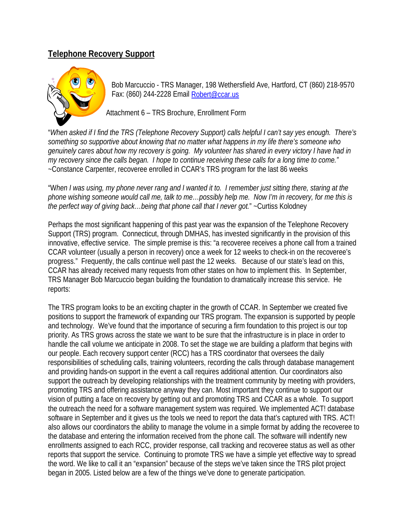#### **Telephone Recovery Support**



Bob Marcuccio - TRS Manager, 198 Wethersfield Ave, Hartford, CT (860) 218-9570 Fax: (860) 244-2228 Email [Robert@ccar.us](mailto:Robert@ccar.us)

Attachment 6 – TRS Brochure, Enrollment Form

"*When asked if I find the TRS (Telephone Recovery Support) calls helpful I can't say yes enough. There's something so supportive about knowing that no matter what happens in my life there's someone who genuinely cares about how my recovery is going. My volunteer has shared in every victory I have had in my recovery since the calls began. I hope to continue receiving these calls for a long time to come."* ~Constance Carpenter, recoveree enrolled in CCAR's TRS program for the last 86 weeks

"W*hen I was using, my phone never rang and I wanted it to. I remember just sitting there, staring at the phone wishing someone would call me, talk to me…possibly help me. Now I'm in recovery, for me this is the perfect way of giving back…being that phone call that I never got.*" ~Curtiss Kolodney

Perhaps the most significant happening of this past year was the expansion of the Telephone Recovery Support (TRS) program. Connecticut, through DMHAS, has invested significantly in the provision of this innovative, effective service. The simple premise is this: "a recoveree receives a phone call from a trained CCAR volunteer (usually a person in recovery) once a week for 12 weeks to check-in on the recoveree's progress." Frequently, the calls continue well past the 12 weeks. Because of our state's lead on this, CCAR has already received many requests from other states on how to implement this. In September, TRS Manager Bob Marcuccio began building the foundation to dramatically increase this service. He reports:

The TRS program looks to be an exciting chapter in the growth of CCAR. In September we created five positions to support the framework of expanding our TRS program. The expansion is supported by people and technology. We've found that the importance of securing a firm foundation to this project is our top priority. As TRS grows across the state we want to be sure that the infrastructure is in place in order to handle the call volume we anticipate in 2008. To set the stage we are building a platform that begins with our people. Each recovery support center (RCC) has a TRS coordinator that oversees the daily responsibilities of scheduling calls, training volunteers, recording the calls through database management and providing hands-on support in the event a call requires additional attention. Our coordinators also support the outreach by developing relationships with the treatment community by meeting with providers, promoting TRS and offering assistance anyway they can. Most important they continue to support our vision of putting a face on recovery by getting out and promoting TRS and CCAR as a whole. To support the outreach the need for a software management system was required. We implemented ACT! database software in September and it gives us the tools we need to report the data that's captured with TRS. ACT! also allows our coordinators the ability to manage the volume in a simple format by adding the recoveree to the database and entering the information received from the phone call. The software will indentify new enrollments assigned to each RCC, provider response, call tracking and recoveree status as well as other reports that support the service. Continuing to promote TRS we have a simple yet effective way to spread the word. We like to call it an "expansion" because of the steps we've taken since the TRS pilot project began in 2005. Listed below are a few of the things we've done to generate participation.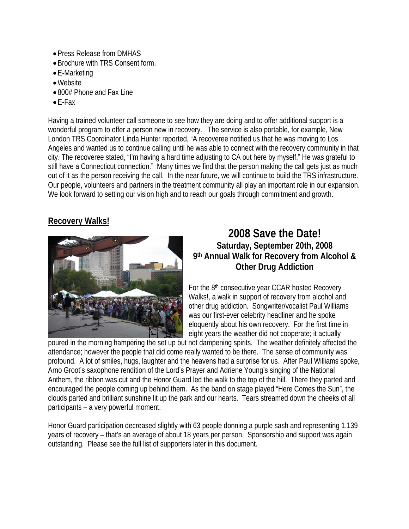- Press Release from DMHAS
- Brochure with TRS Consent form.
- E-Marketing
- •Website
- 800# Phone and Fax Line
- E-Fax

Having a trained volunteer call someone to see how they are doing and to offer additional support is a wonderful program to offer a person new in recovery. The service is also portable, for example, New London TRS Coordinator Linda Hunter reported, "A recoveree notified us that he was moving to Los Angeles and wanted us to continue calling until he was able to connect with the recovery community in that city. The recoveree stated, "I'm having a hard time adjusting to CA out here by myself." He was grateful to still have a Connecticut connection." Many times we find that the person making the call gets just as much out of it as the person receiving the call. In the near future, we will continue to build the TRS infrastructure. Our people, volunteers and partners in the treatment community all play an important role in our expansion. We look forward to setting our vision high and to reach our goals through commitment and growth.

#### **Recovery Walks!**



#### **2008 Save the Date! Saturday, September 20th, 2008 9th Annual Walk for Recovery from Alcohol & Other Drug Addiction**

For the 8<sup>th</sup> consecutive year CCAR hosted Recovery Walks!, a walk in support of recovery from alcohol and other drug addiction. Songwriter/vocalist Paul Williams was our first-ever celebrity headliner and he spoke eloquently about his own recovery. For the first time in eight years the weather did not cooperate; it actually

poured in the morning hampering the set up but not dampening spirits. The weather definitely affected the attendance; however the people that did come really wanted to be there. The sense of community was profound. A lot of smiles, hugs, laughter and the heavens had a surprise for us. After Paul Williams spoke, Arno Groot's saxophone rendition of the Lord's Prayer and Adriene Young's singing of the National Anthem, the ribbon was cut and the Honor Guard led the walk to the top of the hill. There they parted and encouraged the people coming up behind them. As the band on stage played "Here Comes the Sun", the clouds parted and brilliant sunshine lit up the park and our hearts. Tears streamed down the cheeks of all participants – a very powerful moment.

Honor Guard participation decreased slightly with 63 people donning a purple sash and representing 1,139 years of recovery – that's an average of about 18 years per person. Sponsorship and support was again outstanding. Please see the full list of supporters later in this document.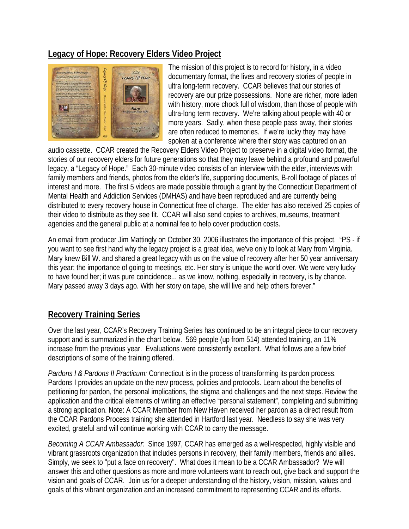#### **Legacy of Hope: Recovery Elders Video Project**



The mission of this project is to record for history, in a video documentary format, the lives and recovery stories of people in ultra long-term recovery. CCAR believes that our stories of recovery are our prize possessions. None are richer, more laden with history, more chock full of wisdom, than those of people with ultra-long term recovery. We're talking about people with 40 or more years. Sadly, when these people pass away, their stories are often reduced to memories. If we're lucky they may have spoken at a conference where their story was captured on an

audio cassette. CCAR created the Recovery Elders Video Project to preserve in a digital video format, the stories of our recovery elders for future generations so that they may leave behind a profound and powerful legacy, a "Legacy of Hope." Each 30-minute video consists of an interview with the elder, interviews with family members and friends, photos from the elder's life, supporting documents, B-roll footage of places of interest and more. The first 5 videos are made possible through a grant by the Connecticut Department of Mental Health and Addiction Services (DMHAS) and have been reproduced and are currently being distributed to every recovery house in Connecticut free of charge. The elder has also received 25 copies of their video to distribute as they see fit. CCAR will also send copies to archives, museums, treatment agencies and the general public at a nominal fee to help cover production costs.

An email from producer Jim Mattingly on October 30, 2006 illustrates the importance of this project. "PS - if you want to see first hand why the legacy project is a great idea, we've only to look at Mary from Virginia. Mary knew Bill W. and shared a great legacy with us on the value of recovery after her 50 year anniversary this year; the importance of going to meetings, etc. Her story is unique the world over. We were very lucky to have found her; it was pure coincidence... as we know, nothing, especially in recovery, is by chance. Mary passed away 3 days ago. With her story on tape, she will live and help others forever."

#### **Recovery Training Series**

Over the last year, CCAR's Recovery Training Series has continued to be an integral piece to our recovery support and is summarized in the chart below. 569 people (up from 514) attended training, an 11% increase from the previous year. Evaluations were consistently excellent. What follows are a few brief descriptions of some of the training offered.

*Pardons I & Pardons II Practicum:* Connecticut is in the process of transforming its pardon process. Pardons I provides an update on the new process, policies and protocols. Learn about the benefits of petitioning for pardon, the personal implications, the stigma and challenges and the next steps. Review the application and the critical elements of writing an effective "personal statement", completing and submitting a strong application. Note: A CCAR Member from New Haven received her pardon as a direct result from the CCAR Pardons Process training she attended in Hartford last year. Needless to say she was very excited, grateful and will continue working with CCAR to carry the message.

*Becoming A CCAR Ambassador:* Since 1997, CCAR has emerged as a well-respected, highly visible and vibrant grassroots organization that includes persons in recovery, their family members, friends and allies. Simply, we seek to "put a face on recovery". What does it mean to be a CCAR Ambassador? We will answer this and other questions as more and more volunteers want to reach out, give back and support the vision and goals of CCAR. Join us for a deeper understanding of the history, vision, mission, values and goals of this vibrant organization and an increased commitment to representing CCAR and its efforts.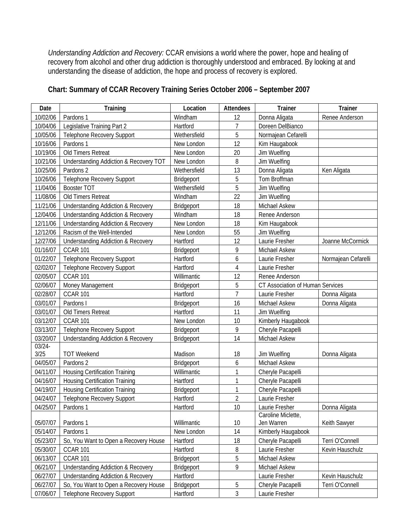*Understanding Addiction and Recovery:* CCAR envisions a world where the power, hope and healing of recovery from alcohol and other drug addiction is thoroughly understood and embraced. By looking at and understanding the disease of addiction, the hope and process of recovery is explored.

| Chart: Summary of CCAR Recovery Training Series October 2006 - September 2007 |  |  |
|-------------------------------------------------------------------------------|--|--|
|                                                                               |  |  |

| Date      | <b>Training</b>                                   | Location     | Attendees      | <b>Trainer</b>                       | <b>Trainer</b>      |
|-----------|---------------------------------------------------|--------------|----------------|--------------------------------------|---------------------|
| 10/02/06  | Pardons 1                                         | Windham      | 12             | Donna Aligata                        | Renee Anderson      |
| 10/04/06  | Legislative Training Part 2                       | Hartford     | $\overline{7}$ | Doreen DelBianco                     |                     |
| 10/05/06  | Telephone Recovery Support                        | Wethersfield | 5              | Normajean Cefarelli                  |                     |
| 10/16/06  | Pardons 1                                         | New London   | 12             | Kim Haugabook                        |                     |
| 10/19/06  | Old Timers Retreat                                | New London   | 20             | Jim Wuelfing                         |                     |
| 10/21/06  | <b>Understanding Addiction &amp; Recovery TOT</b> | New London   | 8              | Jim Wuelfing                         |                     |
| 10/25/06  | Pardons <sub>2</sub>                              | Wethersfield | 13             | Donna Aligata                        | Ken Aligata         |
| 10/26/06  | Telephone Recovery Support                        | Bridgeport   | 5              | Tom Broffman                         |                     |
| 11/04/06  | Booster TOT                                       | Wethersfield | 5              | Jim Wuelfing                         |                     |
| 11/08/06  | Old Timers Retreat                                | Windham      | 22             | Jim Wuelfing                         |                     |
| 11/21/06  | <b>Understanding Addiction &amp; Recovery</b>     | Bridgeport   | 18             | Michael Askew                        |                     |
| 12/04/06  | <b>Understanding Addiction &amp; Recovery</b>     | Windham      | 18             | Renee Anderson                       |                     |
| 12/11/06  | <b>Understanding Addiction &amp; Recovery</b>     | New London   | 18             | Kim Haugabook                        |                     |
| 12/12/06  | Racism of the Well-Intended                       | New London   | 55             | Jim Wuelfing                         |                     |
| 12/27/06  | <b>Understanding Addiction &amp; Recovery</b>     | Hartford     | 12             | Laurie Fresher                       | Joanne McCormick    |
| 01/16/07  | <b>CCAR 101</b>                                   | Bridgeport   | 9              | Michael Askew                        |                     |
| 01/22/07  | <b>Telephone Recovery Support</b>                 | Hartford     | 6              | Laurie Fresher                       | Normajean Cefarelli |
| 02/02/07  | Telephone Recovery Support                        | Hartford     | 4              | Laurie Fresher                       |                     |
| 02/05/07  | <b>CCAR 101</b>                                   | Willimantic  | 12             | Renee Anderson                       |                     |
| 02/06/07  | Money Management                                  | Bridgeport   | 5              | CT Association of Human Services     |                     |
| 02/28/07  | <b>CCAR 101</b>                                   | Hartford     | 7              | Laurie Fresher                       | Donna Aligata       |
| 03/01/07  | Pardons I                                         | Bridgeport   | 16             | Michael Askew                        | Donna Aligata       |
| 03/01/07  | Old Timers Retreat                                | Hartford     | 11             | Jim Wuelfing                         |                     |
| 03/12/07  | <b>CCAR 101</b>                                   | New London   | 10             | Kimberly Haugabook                   |                     |
| 03/13/07  | <b>Telephone Recovery Support</b>                 | Bridgeport   | 9              | Cheryle Pacapelli                    |                     |
| 03/20/07  | <b>Understanding Addiction &amp; Recovery</b>     | Bridgeport   | 14             | Michael Askew                        |                     |
| $03/24 -$ |                                                   |              |                |                                      |                     |
| 3/25      | <b>TOT Weekend</b>                                | Madison      | 18             | Jim Wuelfing                         | Donna Aligata       |
| 04/05/07  | Pardons <sub>2</sub>                              | Bridgeport   | 6              | <b>Michael Askew</b>                 |                     |
| 04/11/07  | <b>Housing Certification Training</b>             | Willimantic  | 1              | Cheryle Pacapelli                    |                     |
| 04/16/07  | <b>Housing Certification Training</b>             | Hartford     | 1              | Cheryle Pacapelli                    |                     |
| 04/19/07  | <b>Housing Certification Training</b>             | Bridgeport   | 1              | Cheryle Pacapelli                    |                     |
| 04/24/07  | <b>Telephone Recovery Support</b>                 | Hartford     | $\overline{2}$ | Laurie Fresher                       |                     |
| 04/25/07  | Pardons 1                                         | Hartford     | 10             | Laurie Fresher<br>Caroline Miclette, | Donna Aligata       |
| 05/07/07  | Pardons 1                                         | Willimantic  | 10             | Jen Warren                           | Keith Sawyer        |
| 05/14/07  | Pardons 1                                         | New London   | 14             | Kimberly Haugabook                   |                     |
| 05/23/07  | So, You Want to Open a Recovery House             | Hartford     | 18             | Cheryle Pacapelli                    | Terri O'Connell     |
| 05/30/07  | <b>CCAR 101</b>                                   | Hartford     | 8              | Laurie Fresher                       | Kevin Hauschulz     |
| 06/13/07  | <b>CCAR 101</b>                                   | Bridgeport   | 5              | Michael Askew                        |                     |
| 06/21/07  | <b>Understanding Addiction &amp; Recovery</b>     | Bridgeport   | 9              | Michael Askew                        |                     |
| 06/27/07  | <b>Understanding Addiction &amp; Recovery</b>     | Hartford     |                | Laurie Fresher                       | Kevin Hauschulz     |
| 06/27/07  | So, You Want to Open a Recovery House             | Bridgeport   | 5              | Cheryle Pacapelli                    | Terri O'Connell     |
| 07/06/07  | <b>Telephone Recovery Support</b>                 | Hartford     | 3              | Laurie Fresher                       |                     |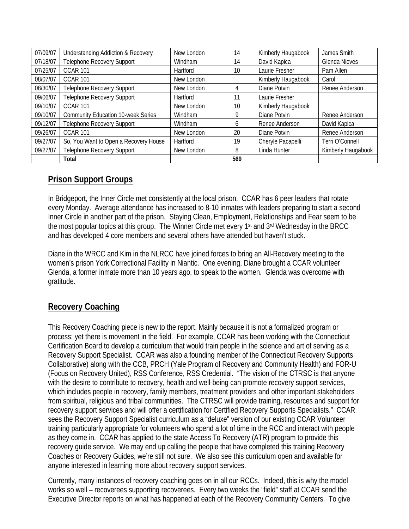| 07/09/07 | <b>Understanding Addiction &amp; Recovery</b> | New London | 14  | Kimberly Haugabook | James Smith        |
|----------|-----------------------------------------------|------------|-----|--------------------|--------------------|
| 07/18/07 | Telephone Recovery Support                    | Windham    | 14  | David Kapica       | Glenda Nieves      |
| 07/25/07 | <b>CCAR 101</b>                               | Hartford   | 10  | Laurie Fresher     | Pam Allen          |
| 08/07/07 | <b>CCAR 101</b>                               | New London |     | Kimberly Haugabook | Carol              |
| 08/30/07 | Telephone Recovery Support                    | New London | 4   | Diane Potvin       | Renee Anderson     |
| 09/06/07 | Telephone Recovery Support                    | Hartford   | 11  | Laurie Fresher     |                    |
| 09/10/07 | <b>CCAR 101</b>                               | New London | 10  | Kimberly Haugabook |                    |
| 09/10/07 | <b>Community Education 10-week Series</b>     | Windham    | 9   | Diane Potvin       | Renee Anderson     |
| 09/12/07 | Telephone Recovery Support                    | Windham    | 6   | Renee Anderson     | David Kapica       |
| 09/26/07 | <b>CCAR 101</b>                               | New London | 20  | Diane Potvin       | Renee Anderson     |
| 09/27/07 | So, You Want to Open a Recovery House         | Hartford   | 19  | Cheryle Pacapelli  | Terri O'Connell    |
| 09/27/07 | Telephone Recovery Support                    | New London | 8   | Linda Hunter       | Kimberly Haugabook |
|          | <b>Total</b>                                  |            | 569 |                    |                    |

#### **Prison Support Groups**

In Bridgeport, the Inner Circle met consistently at the local prison. CCAR has 6 peer leaders that rotate every Monday. Average attendance has increased to 8-10 inmates with leaders preparing to start a second Inner Circle in another part of the prison. Staying Clean, Employment, Relationships and Fear seem to be the most popular topics at this group. The Winner Circle met every 1st and 3rd Wednesday in the BRCC and has developed 4 core members and several others have attended but haven't stuck.

Diane in the WRCC and Kim in the NLRCC have joined forces to bring an All-Recovery meeting to the women's prison York Correctional Facility in Niantic. One evening, Diane brought a CCAR volunteer Glenda, a former inmate more than 10 years ago, to speak to the women. Glenda was overcome with gratitude.

#### **Recovery Coaching**

This Recovery Coaching piece is new to the report. Mainly because it is not a formalized program or process; yet there is movement in the field. For example, CCAR has been working with the Connecticut Certification Board to develop a curriculum that would train people in the science and art of serving as a Recovery Support Specialist. CCAR was also a founding member of the Connecticut Recovery Supports Collaborative) along with the CCB, PRCH (Yale Program of Recovery and Community Health) and FOR-U (Focus on Recovery United), RSS Conference, RSS Credential. "The vision of the CTRSC is that anyone with the desire to contribute to recovery, health and well-being can promote recovery support services, which includes people in recovery, family members, treatment providers and other important stakeholders from spiritual, religious and tribal communities. The CTRSC will provide training, resources and support for recovery support services and will offer a certification for Certified Recovery Supports Specialists." CCAR sees the Recovery Support Specialist curriculum as a "deluxe" version of our existing CCAR Volunteer training particularly appropriate for volunteers who spend a lot of time in the RCC and interact with people as they come in. CCAR has applied to the state Access To Recovery (ATR) program to provide this recovery guide service. We may end up calling the people that have completed this training Recovery Coaches or Recovery Guides, we're still not sure. We also see this curriculum open and available for anyone interested in learning more about recovery support services.

Currently, many instances of recovery coaching goes on in all our RCCs. Indeed, this is why the model works so well – recoverees supporting recoverees. Every two weeks the "field" staff at CCAR send the Executive Director reports on what has happened at each of the Recovery Community Centers. To give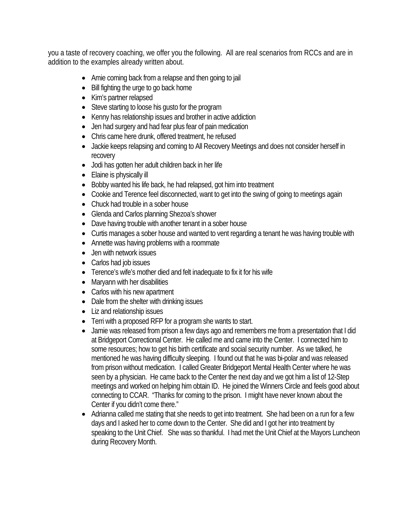you a taste of recovery coaching, we offer you the following. All are real scenarios from RCCs and are in addition to the examples already written about.

- Amie coming back from a relapse and then going to jail
- Bill fighting the urge to go back home
- Kim's partner relapsed
- Steve starting to loose his gusto for the program
- Kenny has relationship issues and brother in active addiction
- Jen had surgery and had fear plus fear of pain medication
- Chris came here drunk, offered treatment, he refused
- Jackie keeps relapsing and coming to All Recovery Meetings and does not consider herself in recovery
- Jodi has gotten her adult children back in her life
- Elaine is physically ill
- Bobby wanted his life back, he had relapsed, got him into treatment
- Cookie and Terence feel disconnected, want to get into the swing of going to meetings again
- Chuck had trouble in a sober house
- Glenda and Carlos planning Shezoa's shower
- Dave having trouble with another tenant in a sober house
- Curtis manages a sober house and wanted to vent regarding a tenant he was having trouble with
- Annette was having problems with a roommate
- Jen with network issues
- Carlos had job issues
- Terence's wife's mother died and felt inadequate to fix it for his wife
- Maryann with her disabilities
- Carlos with his new apartment
- Dale from the shelter with drinking issues
- Liz and relationship issues
- Terri with a proposed RFP for a program she wants to start.
- Jamie was released from prison a few days ago and remembers me from a presentation that I did at Bridgeport Correctional Center. He called me and came into the Center. I connected him to some resources; how to get his birth certificate and social security number. As we talked, he mentioned he was having difficulty sleeping. I found out that he was bi-polar and was released from prison without medication. I called Greater Bridgeport Mental Health Center where he was seen by a physician. He came back to the Center the next day and we got him a list of 12-Step meetings and worked on helping him obtain ID. He joined the Winners Circle and feels good about connecting to CCAR. "Thanks for coming to the prison. I might have never known about the Center if you didn't come there."
- Adrianna called me stating that she needs to get into treatment. She had been on a run for a few days and I asked her to come down to the Center. She did and I got her into treatment by speaking to the Unit Chief. She was so thankful. I had met the Unit Chief at the Mayors Luncheon during Recovery Month.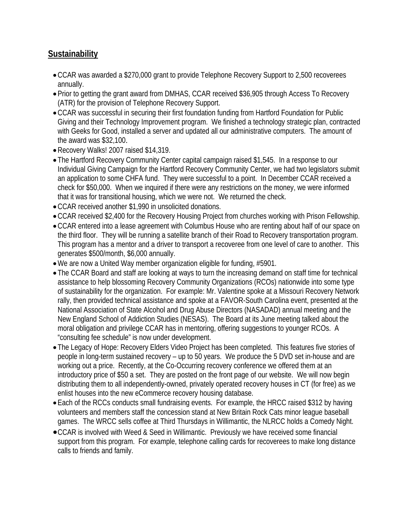#### **Sustainability**

- •CCAR was awarded a \$270,000 grant to provide Telephone Recovery Support to 2,500 recoverees annually.
- Prior to getting the grant award from DMHAS, CCAR received \$36,905 through Access To Recovery (ATR) for the provision of Telephone Recovery Support.
- •CCAR was successful in securing their first foundation funding from Hartford Foundation for Public Giving and their Technology Improvement program. We finished a technology strategic plan, contracted with Geeks for Good, installed a server and updated all our administrative computers. The amount of the award was \$32,100.
- •Recovery Walks! 2007 raised \$14,319.
- The Hartford Recovery Community Center capital campaign raised \$1,545. In a response to our Individual Giving Campaign for the Hartford Recovery Community Center, we had two legislators submit an application to some CHFA fund. They were successful to a point. In December CCAR received a check for \$50,000. When we inquired if there were any restrictions on the money, we were informed that it was for transitional housing, which we were not. We returned the check.
- •CCAR received another \$1,990 in unsolicited donations.
- •CCAR received \$2,400 for the Recovery Housing Project from churches working with Prison Fellowship.
- •CCAR entered into a lease agreement with Columbus House who are renting about half of our space on the third floor. They will be running a satellite branch of their Road to Recovery transportation program. This program has a mentor and a driver to transport a recoveree from one level of care to another. This generates \$500/month, \$6,000 annually.
- •We are now a United Way member organization eligible for funding, #5901.
- The CCAR Board and staff are looking at ways to turn the increasing demand on staff time for technical assistance to help blossoming Recovery Community Organizations (RCOs) nationwide into some type of sustainability for the organization. For example: Mr. Valentine spoke at a Missouri Recovery Network rally, then provided technical assistance and spoke at a FAVOR-South Carolina event, presented at the National Association of State Alcohol and Drug Abuse Directors (NASADAD) annual meeting and the New England School of Addiction Studies (NESAS). The Board at its June meeting talked about the moral obligation and privilege CCAR has in mentoring, offering suggestions to younger RCOs. A "consulting fee schedule" is now under development.
- The Legacy of Hope: Recovery Elders Video Project has been completed. This features five stories of people in long-term sustained recovery – up to 50 years. We produce the 5 DVD set in-house and are working out a price. Recently, at the Co-Occurring recovery conference we offered them at an introductory price of \$50 a set. They are posted on the front page of our website. We will now begin distributing them to all independently-owned, privately operated recovery houses in CT (for free) as we enlist houses into the new eCommerce recovery housing database.
- Each of the RCCs conducts small fundraising events. For example, the HRCC raised \$312 by having volunteers and members staff the concession stand at New Britain Rock Cats minor league baseball games. The WRCC sells coffee at Third Thursdays in Willimantic, the NLRCC holds a Comedy Night.
- •CCAR is involved with Weed & Seed in Willimantic. Previously we have received some financial support from this program. For example, telephone calling cards for recoverees to make long distance calls to friends and family.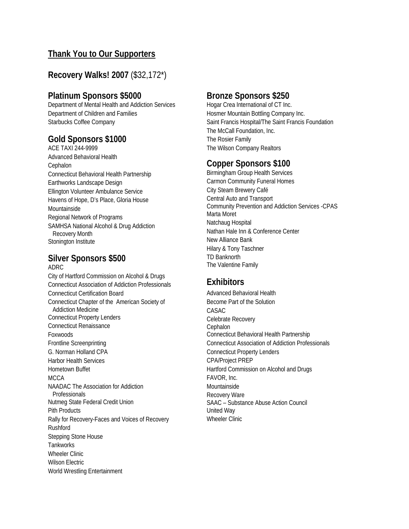#### **Thank You to Our Supporters**

#### **Recovery Walks! 2007** (\$32,172\*)

#### **Platinum Sponsors \$5000**

Department of Mental Health and Addiction Services Department of Children and Families Starbucks Coffee Company

#### **Gold Sponsors \$1000**

ACE TAXI 244-9999 Advanced Behavioral Health Cephalon Connecticut Behavioral Health Partnership Earthworks Landscape Design Ellington Volunteer Ambulance Service Havens of Hope, D's Place, Gloria House Mountainside Regional Network of Programs SAMHSA National Alcohol & Drug Addiction Recovery Month Stonington Institute

#### **Silver Sponsors \$500** ADRC

City of Hartford Commission on Alcohol & Drugs Connecticut Association of Addiction Professionals Connecticut Certification Board Connecticut Chapter of the American Society of Addiction Medicine Connecticut Property Lenders Connecticut Renaissance Foxwoods Frontline Screenprinting G. Norman Holland CPA Harbor Health Services Hometown Buffet **MCCA** NAADAC The Association for Addiction Professionals Nutmeg State Federal Credit Union Pith Products Rally for Recovery-Faces and Voices of Recovery Rushford Stepping Stone House **Tankworks** Wheeler Clinic Wilson Electric World Wrestling Entertainment

#### **Bronze Sponsors \$250**

Hogar Crea International of CT Inc. Hosmer Mountain Bottling Company Inc. Saint Francis Hospital/The Saint Francis Foundation The McCall Foundation, Inc. The Rosier Family The Wilson Company Realtors

#### **Copper Sponsors \$100**

Birmingham Group Health Services Carmon Community Funeral Homes City Steam Brewery Café Central Auto and Transport Community Prevention and Addiction Services -CPAS Marta Moret Natchaug Hospital Nathan Hale Inn & Conference Center New Alliance Bank Hilary & Tony Taschner TD Banknorth The Valentine Family

#### **Exhibitors**

Advanced Behavioral Health Become Part of the Solution CASAC Celebrate Recovery **Cephalon** Connecticut Behavioral Health Partnership Connecticut Association of Addiction Professionals Connecticut Property Lenders CPA/Project PREP Hartford Commission on Alcohol and Drugs FAVOR, Inc. Mountainside Recovery Ware SAAC – Substance Abuse Action Council United Way Wheeler Clinic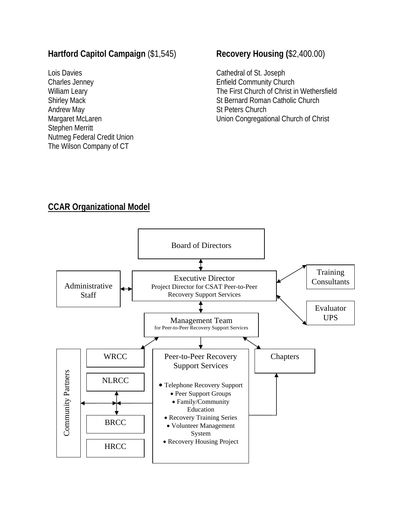#### **Hartford Capitol Campaign** (\$1,545)

Lois Davies Charles Jenney William Leary Shirley Mack Andrew May Margaret McLaren Stephen Merritt Nutmeg Federal Credit Union The Wilson Company of CT

#### **Recovery Housing (**\$2,400.00)

Cathedral of St. Joseph Enfield Community Church The First Church of Christ in Wethersfield St Bernard Roman Catholic Church St Peters Church Union Congregational Church of Christ

#### **CCAR Organizational Model**

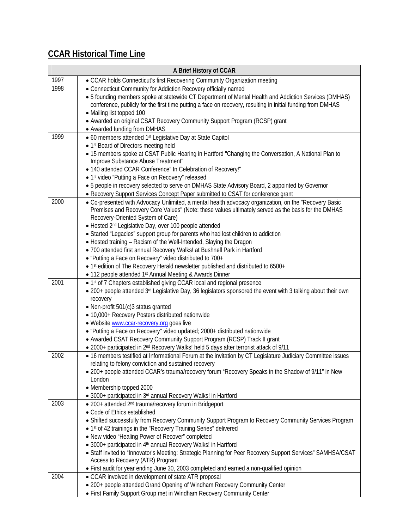## **CCAR Historical Time Line**

|      | A Brief History of CCAR                                                                                                                                                                   |
|------|-------------------------------------------------------------------------------------------------------------------------------------------------------------------------------------------|
| 1997 | • CCAR holds Connecticut's first Recovering Community Organization meeting                                                                                                                |
| 1998 | • Connecticut Community for Addiction Recovery officially named                                                                                                                           |
|      | • 5 founding members spoke at statewide CT Department of Mental Health and Addiction Services (DMHAS)                                                                                     |
|      | conference, publicly for the first time putting a face on recovery, resulting in initial funding from DMHAS                                                                               |
|      | • Mailing list topped 100                                                                                                                                                                 |
|      | • Awarded an original CSAT Recovery Community Support Program (RCSP) grant                                                                                                                |
|      | • Awarded funding from DMHAS                                                                                                                                                              |
| 1999 | • 60 members attended 1 <sup>st</sup> Legislative Day at State Capitol                                                                                                                    |
|      | • 1st Board of Directors meeting held                                                                                                                                                     |
|      | . 15 members spoke at CSAT Public Hearing in Hartford "Changing the Conversation, A National Plan to                                                                                      |
|      | Improve Substance Abuse Treatment"                                                                                                                                                        |
|      | • 140 attended CCAR Conference" In Celebration of Recovery!"                                                                                                                              |
|      | • 1st video "Putting a Face on Recovery" released                                                                                                                                         |
|      | • 5 people in recovery selected to serve on DMHAS State Advisory Board, 2 appointed by Governor                                                                                           |
| 2000 | • Recovery Support Services Concept Paper submitted to CSAT for conference grant<br>• Co-presented with Advocacy Unlimited, a mental health advocacy organization, on the "Recovery Basic |
|      | Premises and Recovery Core Values" (Note: these values ultimately served as the basis for the DMHAS                                                                                       |
|      | Recovery-Oriented System of Care)                                                                                                                                                         |
|      | • Hosted 2 <sup>nd</sup> Legislative Day, over 100 people attended                                                                                                                        |
|      | • Started "Legacies" support group for parents who had lost children to addiction                                                                                                         |
|      | • Hosted training - Racism of the Well-Intended, Slaying the Dragon                                                                                                                       |
|      | · 700 attended first annual Recovery Walks! at Bushnell Park in Hartford                                                                                                                  |
|      | • "Putting a Face on Recovery" video distributed to 700+                                                                                                                                  |
|      | • 1st edition of The Recovery Herald newsletter published and distributed to 6500+                                                                                                        |
|      | • 112 people attended 1 <sup>st</sup> Annual Meeting & Awards Dinner                                                                                                                      |
| 2001 | • 1st of 7 Chapters established giving CCAR local and regional presence                                                                                                                   |
|      | • 200+ people attended 3rd Legislative Day, 36 legislators sponsored the event with 3 talking about their own                                                                             |
|      | recovery                                                                                                                                                                                  |
|      | • Non-profit 501(c)3 status granted                                                                                                                                                       |
|      | · 10,000+ Recovery Posters distributed nationwide                                                                                                                                         |
|      | • Website www.ccar-recovery.org goes live                                                                                                                                                 |
|      | • "Putting a Face on Recovery" video updated; 2000+ distributed nationwide                                                                                                                |
|      | • Awarded CSAT Recovery Community Support Program (RCSP) Track II grant                                                                                                                   |
| 2002 | . 2000+ participated in 2 <sup>nd</sup> Recovery Walks! held 5 days after terrorist attack of 9/11                                                                                        |
|      | . 16 members testified at Informational Forum at the invitation by CT Legislature Judiciary Committee issues<br>relating to felony conviction and sustained recovery                      |
|      | . 200+ people attended CCAR's trauma/recovery forum "Recovery Speaks in the Shadow of 9/11" in New                                                                                        |
|      | London                                                                                                                                                                                    |
|      | • Membership topped 2000                                                                                                                                                                  |
|      | • 3000+ participated in 3rd annual Recovery Walks! in Hartford                                                                                                                            |
| 2003 | • 200+ attended 2 <sup>nd</sup> trauma/recovery forum in Bridgeport                                                                                                                       |
|      | • Code of Ethics established                                                                                                                                                              |
|      | • Shifted successfully from Recovery Community Support Program to Recovery Community Services Program                                                                                     |
|      | • 1st of 42 trainings in the "Recovery Training Series" delivered                                                                                                                         |
|      | . New video "Healing Power of Recover" completed                                                                                                                                          |
|      | • 3000+ participated in 4 <sup>th</sup> annual Recovery Walks! in Hartford                                                                                                                |
|      | • Staff invited to "Innovator's Meeting: Strategic Planning for Peer Recovery Support Services" SAMHSA/CSAT                                                                               |
|      | Access to Recovery (ATR) Program                                                                                                                                                          |
|      | . First audit for year ending June 30, 2003 completed and earned a non-qualified opinion                                                                                                  |
| 2004 | • CCAR involved in development of state ATR proposal                                                                                                                                      |
|      | • 200+ people attended Grand Opening of Windham Recovery Community Center                                                                                                                 |
|      | • First Family Support Group met in Windham Recovery Community Center                                                                                                                     |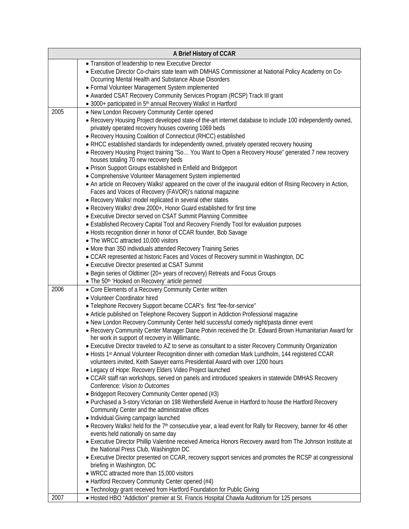| A Brief History of CCAR |                                                                                                                                                                                                                                                                                                                                     |  |  |  |
|-------------------------|-------------------------------------------------------------------------------------------------------------------------------------------------------------------------------------------------------------------------------------------------------------------------------------------------------------------------------------|--|--|--|
|                         | • Transition of leadership to new Executive Director<br>· Executive Director Co-chairs state team with DMHAS Commissioner at National Policy Academy on Co-<br>Occurring Mental Health and Substance Abuse Disorders                                                                                                                |  |  |  |
|                         | • Formal Volunteer Management System implemented<br>• Awarded CSAT Recovery Community Services Program (RCSP) Track III grant                                                                                                                                                                                                       |  |  |  |
|                         | • 3000+ participated in 5 <sup>th</sup> annual Recovery Walks! in Hartford                                                                                                                                                                                                                                                          |  |  |  |
| 2005                    | • New London Recovery Community Center opened                                                                                                                                                                                                                                                                                       |  |  |  |
|                         | . Recovery Housing Project developed state-of the-art internet database to include 100 independently owned,<br>privately operated recovery houses covering 1069 beds<br>• Recovery Housing Coalition of Connecticut (RHCC) established<br>• RHCC established standards for independently owned, privately operated recovery housing |  |  |  |
|                         | • Recovery Housing Project training "So You Want to Open a Recovery House" generated 7 new recovery<br>houses totaling 70 new recovery beds<br>• Prison Support Groups established in Enfield and Bridgeport                                                                                                                        |  |  |  |
|                         | • Comprehensive Volunteer Management System implemented                                                                                                                                                                                                                                                                             |  |  |  |
|                         | • An article on Recovery Walks! appeared on the cover of the inaugural edition of Rising Recovery in Action,<br>Faces and Voices of Recovery (FAVOR)'s national magazine<br>• Recovery Walks! model replicated in several other states                                                                                              |  |  |  |
|                         | • Recovery Walks! drew 2000+, Honor Guard established for first time                                                                                                                                                                                                                                                                |  |  |  |
|                         | • Executive Director served on CSAT Summit Planning Committee                                                                                                                                                                                                                                                                       |  |  |  |
|                         | • Established Recovery Capital Tool and Recovery Friendly Tool for evaluation purposes                                                                                                                                                                                                                                              |  |  |  |
|                         | • Hosts recognition dinner in honor of CCAR founder, Bob Savage                                                                                                                                                                                                                                                                     |  |  |  |
|                         | • The WRCC attracted 10,000 visitors                                                                                                                                                                                                                                                                                                |  |  |  |
|                         | • More than 350 individuals attended Recovery Training Series                                                                                                                                                                                                                                                                       |  |  |  |
|                         | • CCAR represented at historic Faces and Voices of Recovery summit in Washington, DC<br>• Executive Director presented at CSAT Summit                                                                                                                                                                                               |  |  |  |
|                         | • Begin series of Oldtimer (20+ years of recovery) Retreats and Focus Groups                                                                                                                                                                                                                                                        |  |  |  |
|                         | • The 50th 'Hooked on Recovery' article penned                                                                                                                                                                                                                                                                                      |  |  |  |
| 2006                    | • Core Elements of a Recovery Community Center written                                                                                                                                                                                                                                                                              |  |  |  |
|                         | • Volunteer Coordinator hired                                                                                                                                                                                                                                                                                                       |  |  |  |
|                         | • Telephone Recovery Support became CCAR's first "fee-for-service"                                                                                                                                                                                                                                                                  |  |  |  |
|                         | • Article published on Telephone Recovery Support in Addiction Professional magazine                                                                                                                                                                                                                                                |  |  |  |
|                         | . New London Recovery Community Center held successful comedy night/pasta dinner event                                                                                                                                                                                                                                              |  |  |  |
|                         | • Recovery Community Center Manager Diane Potvin received the Dr. Edward Brown Humanitarian Award for                                                                                                                                                                                                                               |  |  |  |
|                         | her work in support of recovery in Willimantic.<br>• Executive Director traveled to AZ to serve as consultant to a sister Recovery Community Organization                                                                                                                                                                           |  |  |  |
|                         | • Hosts 1st Annual Volunteer Recognition dinner with comedian Mark Lundholm, 144 registered CCAR<br>volunteers invited, Keith Sawyer earns Presidential Award with over 1200 hours<br>• Legacy of Hope: Recovery Elders Video Project launched                                                                                      |  |  |  |
|                         | • CCAR staff ran workshops, served on panels and introduced speakers in statewide DMHAS Recovery<br>Conference: Vision to Outcomes                                                                                                                                                                                                  |  |  |  |
|                         | • Bridgeport Recovery Community Center opened (#3)<br>• Purchased a 3-story Victorian on 198 Wethersfield Avenue in Hartford to house the Hartford Recovery<br>Community Center and the administrative offices<br>• Individual Giving campaign launched                                                                             |  |  |  |
|                         | • Recovery Walks! held for the 7 <sup>th</sup> consecutive year, a lead event for Rally for Recovery, banner for 46 other<br>events held nationally on same day                                                                                                                                                                     |  |  |  |
|                         | • Executive Director Phillip Valentine received America Honors Recovery award from The Johnson Institute at<br>the National Press Club, Washington DC                                                                                                                                                                               |  |  |  |
|                         | • Executive Director presented on CCAR, recovery support services and promotes the RCSP at congressional<br>briefing in Washington, DC<br>• WRCC attracted more than 15,000 visitors                                                                                                                                                |  |  |  |
|                         | • Hartford Recovery Community Center opened (#4)                                                                                                                                                                                                                                                                                    |  |  |  |
|                         | • Technology grant received from Hartford Foundation for Public Giving                                                                                                                                                                                                                                                              |  |  |  |
| 2007                    | • Hosted HBO "Addiction" premier at St. Francis Hospital Chawla Auditorium for 125 persons                                                                                                                                                                                                                                          |  |  |  |